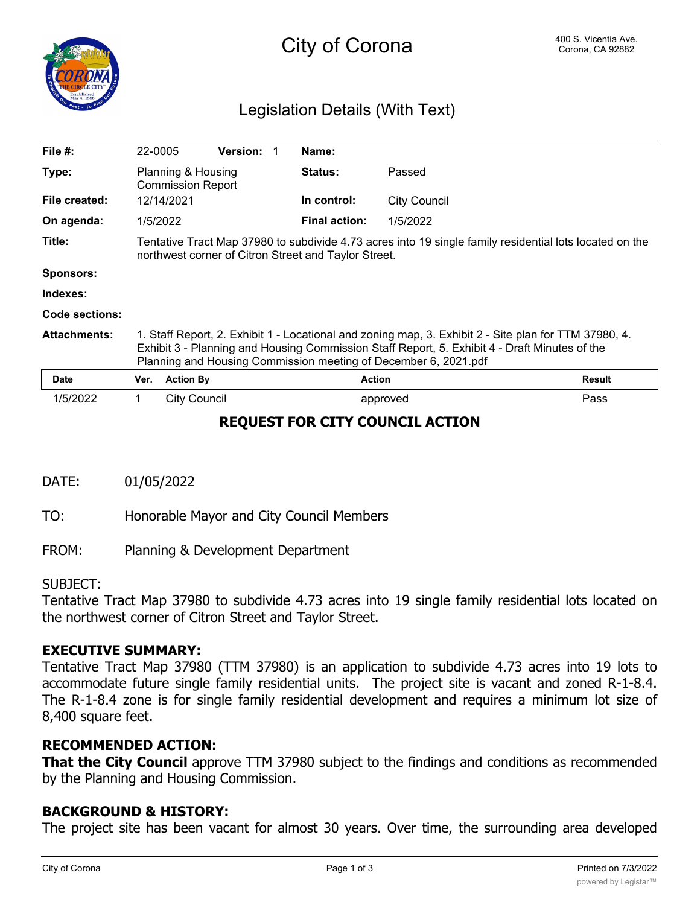

# City of Corona **Corona Corona** Corona, CA 92882

## Legislation Details (With Text)

| File $#$ :          | 22-0005                                                                                                                                                                                                                                                                   |                     | <b>Version:</b> |  | Name:                |                     |               |
|---------------------|---------------------------------------------------------------------------------------------------------------------------------------------------------------------------------------------------------------------------------------------------------------------------|---------------------|-----------------|--|----------------------|---------------------|---------------|
| Type:               | Planning & Housing<br><b>Commission Report</b>                                                                                                                                                                                                                            |                     |                 |  | <b>Status:</b>       | Passed              |               |
| File created:       | 12/14/2021                                                                                                                                                                                                                                                                |                     |                 |  | In control:          | <b>City Council</b> |               |
| On agenda:          | 1/5/2022                                                                                                                                                                                                                                                                  |                     |                 |  | <b>Final action:</b> | 1/5/2022            |               |
| Title:              | Tentative Tract Map 37980 to subdivide 4.73 acres into 19 single family residential lots located on the<br>northwest corner of Citron Street and Taylor Street.                                                                                                           |                     |                 |  |                      |                     |               |
| <b>Sponsors:</b>    |                                                                                                                                                                                                                                                                           |                     |                 |  |                      |                     |               |
| Indexes:            |                                                                                                                                                                                                                                                                           |                     |                 |  |                      |                     |               |
| Code sections:      |                                                                                                                                                                                                                                                                           |                     |                 |  |                      |                     |               |
| <b>Attachments:</b> | 1. Staff Report, 2. Exhibit 1 - Locational and zoning map, 3. Exhibit 2 - Site plan for TTM 37980, 4.<br>Exhibit 3 - Planning and Housing Commission Staff Report, 5. Exhibit 4 - Draft Minutes of the<br>Planning and Housing Commission meeting of December 6, 2021.pdf |                     |                 |  |                      |                     |               |
| Date                | Ver.                                                                                                                                                                                                                                                                      | <b>Action By</b>    |                 |  | <b>Action</b>        |                     | <b>Result</b> |
| 1/5/2022            | 1.                                                                                                                                                                                                                                                                        | <b>City Council</b> |                 |  |                      | approved            | Pass          |

## **REQUEST FOR CITY COUNCIL ACTION**

DATE: 01/05/2022

TO: Honorable Mayor and City Council Members

FROM: Planning & Development Department

#### SUBJECT:

Tentative Tract Map 37980 to subdivide 4.73 acres into 19 single family residential lots located on the northwest corner of Citron Street and Taylor Street.

## **EXECUTIVE SUMMARY:**

Tentative Tract Map 37980 (TTM 37980) is an application to subdivide 4.73 acres into 19 lots to accommodate future single family residential units. The project site is vacant and zoned R-1-8.4. The R-1-8.4 zone is for single family residential development and requires a minimum lot size of 8,400 square feet.

## **RECOMMENDED ACTION:**

**That the City Council** approve TTM 37980 subject to the findings and conditions as recommended by the Planning and Housing Commission.

## **BACKGROUND & HISTORY:**

The project site has been vacant for almost 30 years. Over time, the surrounding area developed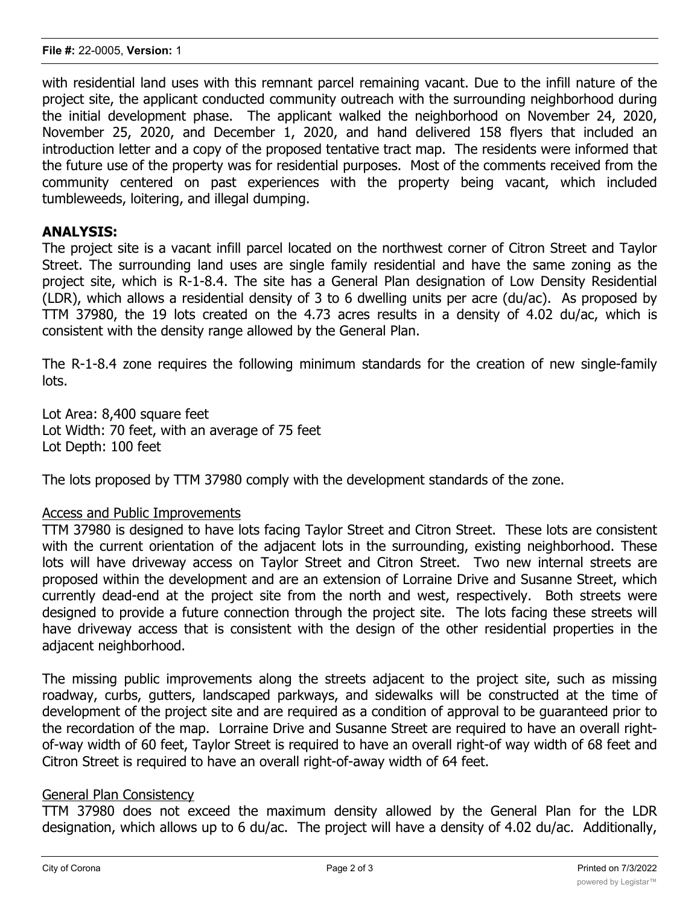with residential land uses with this remnant parcel remaining vacant. Due to the infill nature of the project site, the applicant conducted community outreach with the surrounding neighborhood during the initial development phase. The applicant walked the neighborhood on November 24, 2020, November 25, 2020, and December 1, 2020, and hand delivered 158 flyers that included an introduction letter and a copy of the proposed tentative tract map. The residents were informed that the future use of the property was for residential purposes. Most of the comments received from the community centered on past experiences with the property being vacant, which included tumbleweeds, loitering, and illegal dumping.

## **ANALYSIS:**

The project site is a vacant infill parcel located on the northwest corner of Citron Street and Taylor Street. The surrounding land uses are single family residential and have the same zoning as the project site, which is R-1-8.4. The site has a General Plan designation of Low Density Residential (LDR), which allows a residential density of 3 to 6 dwelling units per acre (du/ac). As proposed by TTM 37980, the 19 lots created on the 4.73 acres results in a density of 4.02 du/ac, which is consistent with the density range allowed by the General Plan.

The R-1-8.4 zone requires the following minimum standards for the creation of new single-family lots.

Lot Area: 8,400 square feet Lot Width: 70 feet, with an average of 75 feet Lot Depth: 100 feet

The lots proposed by TTM 37980 comply with the development standards of the zone.

#### Access and Public Improvements

TTM 37980 is designed to have lots facing Taylor Street and Citron Street. These lots are consistent with the current orientation of the adjacent lots in the surrounding, existing neighborhood. These lots will have driveway access on Taylor Street and Citron Street. Two new internal streets are proposed within the development and are an extension of Lorraine Drive and Susanne Street, which currently dead-end at the project site from the north and west, respectively. Both streets were designed to provide a future connection through the project site. The lots facing these streets will have driveway access that is consistent with the design of the other residential properties in the adjacent neighborhood.

The missing public improvements along the streets adjacent to the project site, such as missing roadway, curbs, gutters, landscaped parkways, and sidewalks will be constructed at the time of development of the project site and are required as a condition of approval to be guaranteed prior to the recordation of the map. Lorraine Drive and Susanne Street are required to have an overall rightof-way width of 60 feet, Taylor Street is required to have an overall right-of way width of 68 feet and Citron Street is required to have an overall right-of-away width of 64 feet.

## General Plan Consistency

TTM 37980 does not exceed the maximum density allowed by the General Plan for the LDR designation, which allows up to 6 du/ac. The project will have a density of 4.02 du/ac. Additionally,